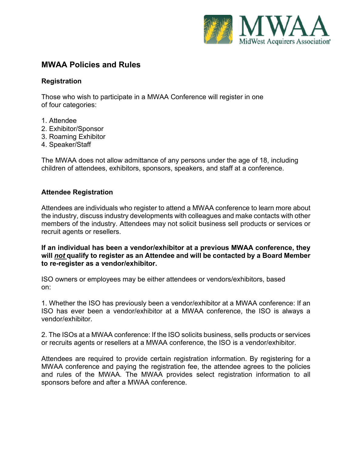

# **MWAA Policies and Rules**

### **Registration**

Those who wish to participate in a MWAA Conference will register in one of four categories:

- 1. Attendee
- 2. Exhibitor/Sponsor
- 3. Roaming Exhibitor
- 4. Speaker/Staff

The MWAA does not allow admittance of any persons under the age of 18, including children of attendees, exhibitors, sponsors, speakers, and staff at a conference.

### **Attendee Registration**

Attendees are individuals who register to attend a MWAA conference to learn more about the industry, discuss industry developments with colleagues and make contacts with other members of the industry. Attendees may not solicit business sell products or services or recruit agents or resellers.

**If an individual has been a vendor/exhibitor at a previous MWAA conference, they will** *not* **qualify to register as an Attendee and will be contacted by a Board Member to re-register as a vendor/exhibitor.**

ISO owners or employees may be either attendees or vendors/exhibitors, based on:

1. Whether the ISO has previously been a vendor/exhibitor at a MWAA conference: If an ISO has ever been a vendor/exhibitor at a MWAA conference, the ISO is always a vendor/exhibitor.

2. The ISOs at a MWAA conference: If the ISO solicits business, sells products or services or recruits agents or resellers at a MWAA conference, the ISO is a vendor/exhibitor.

Attendees are required to provide certain registration information. By registering for a MWAA conference and paying the registration fee, the attendee agrees to the policies and rules of the MWAA. The MWAA provides select registration information to all sponsors before and after a MWAA conference.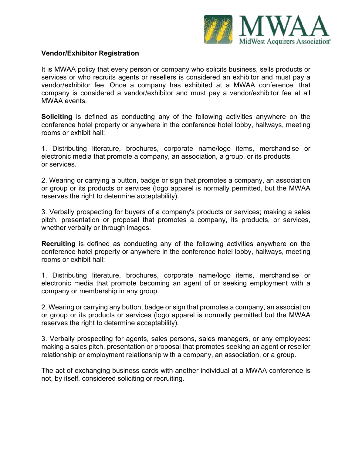

### **Vendor/Exhibitor Registration**

It is MWAA policy that every person or company who solicits business, sells products or services or who recruits agents or resellers is considered an exhibitor and must pay a vendor/exhibitor fee. Once a company has exhibited at a MWAA conference, that company is considered a vendor/exhibitor and must pay a vendor/exhibitor fee at all MWAA events.

**Soliciting** is defined as conducting any of the following activities anywhere on the conference hotel property or anywhere in the conference hotel lobby, hallways, meeting rooms or exhibit hall:

1. Distributing literature, brochures, corporate name/logo items, merchandise or electronic media that promote a company, an association, a group, or its products or services.

2. Wearing or carrying a button, badge or sign that promotes a company, an association or group or its products or services (logo apparel is normally permitted, but the MWAA reserves the right to determine acceptability).

3. Verbally prospecting for buyers of a company's products or services; making a sales pitch, presentation or proposal that promotes a company, its products, or services, whether verbally or through images.

**Recruiting** is defined as conducting any of the following activities anywhere on the conference hotel property or anywhere in the conference hotel lobby, hallways, meeting rooms or exhibit hall:

1. Distributing literature, brochures, corporate name/logo items, merchandise or electronic media that promote becoming an agent of or seeking employment with a company or membership in any group.

2. Wearing or carrying any button, badge or sign that promotes a company, an association or group or its products or services (logo apparel is normally permitted but the MWAA reserves the right to determine acceptability).

3. Verbally prospecting for agents, sales persons, sales managers, or any employees: making a sales pitch, presentation or proposal that promotes seeking an agent or reseller relationship or employment relationship with a company, an association, or a group.

The act of exchanging business cards with another individual at a MWAA conference is not, by itself, considered soliciting or recruiting.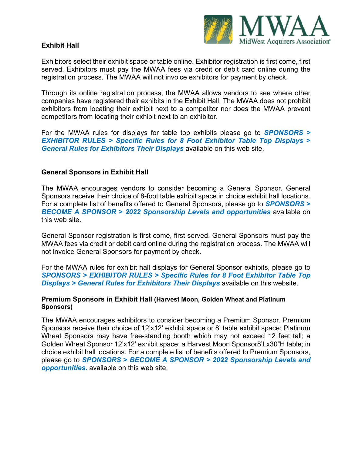

## **Exhibit Hall**

Exhibitors select their exhibit space or table online. Exhibitor registration is first come, first served. Exhibitors must pay the MWAA fees via credit or debit card online during the registration process. The MWAA will not invoice exhibitors for payment by check.

Through its online registration process, the MWAA allows vendors to see where other companies have registered their exhibits in the Exhibit Hall. The MWAA does not prohibit exhibitors from locating their exhibit next to a competitor nor does the MWAA prevent competitors from locating their exhibit next to an exhibitor.

For the MWAA rules for displays for table top exhibits please go to *SPONSORS > EXHIBITOR RULES > Specific Rules for 8 Foot Exhibitor Table Top Displays* **>** *General Rules for Exhibitors Their Displays* available on this web site.

### **General Sponsors in Exhibit Hall**

The MWAA encourages vendors to consider becoming a General Sponsor. General Sponsors receive their choice of 8-foot table exhibit space in choice exhibit hall locations. For a complete list of benefits offered to General Sponsors, please go to *SPONSORS* **>** *BECOME A SPONSOR* **>** *2022 Sponsorship Levels and opportunities* available on this web site.

General Sponsor registration is first come, first served. General Sponsors must pay the MWAA fees via credit or debit card online during the registration process. The MWAA will not invoice General Sponsors for payment by check.

For the MWAA rules for exhibit hall displays for General Sponsor exhibits, please go to *SPONSORS > EXHIBITOR RULES > Specific Rules for 8 Foot Exhibitor Table Top Displays > General Rules for Exhibitors Their Displays* available on this website.

#### **Premium Sponsors in Exhibit Hall (Harvest Moon, Golden Wheat and Platinum Sponsors)**

The MWAA encourages exhibitors to consider becoming a Premium Sponsor. Premium Sponsors receive their choice of 12'x12' exhibit space or 8' table exhibit space: Platinum Wheat Sponsors may have free-standing booth which may not exceed 12 feet tall; a Golden Wheat Sponsor 12'x12' exhibit space; a Harvest Moon Sponsor8'Lx30"H table; in choice exhibit hall locations. For a complete list of benefits offered to Premium Sponsors, please go to *SPONSORS* **>** *BECOME A SPONSOR > 2022 Sponsorship Levels and opportunities.* available on this web site.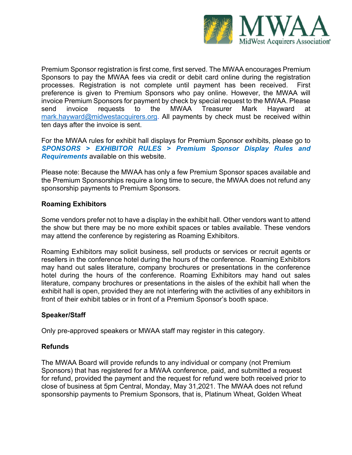

Premium Sponsor registration is first come, first served. The MWAA encourages Premium Sponsors to pay the MWAA fees via credit or debit card online during the registration processes. Registration is not complete until payment has been received. First preference is given to Premium Sponsors who pay online. However, the MWAA will invoice Premium Sponsors for payment by check by special request to the MWAA. Please send invoice requests to the MWAA Treasurer Mark Hayward at [mark.hayward@midwestacquirers.org.](mailto:mark.hayward@midwestacquirers.org) All payments by check must be received within ten days after the invoice is sent.

For the MWAA rules for exhibit hall displays for Premium Sponsor exhibits, please go to *SPONSORS > EXHIBITOR RULES > Premium Sponsor Display Rules and Requirements* available on this website.

Please note: Because the MWAA has only a few Premium Sponsor spaces available and the Premium Sponsorships require a long time to secure, the MWAA does not refund any sponsorship payments to Premium Sponsors.

### **Roaming Exhibitors**

Some vendors prefer not to have a display in the exhibit hall. Other vendors want to attend the show but there may be no more exhibit spaces or tables available. These vendors may attend the conference by registering as Roaming Exhibitors.

Roaming Exhibitors may solicit business, sell products or services or recruit agents or resellers in the conference hotel during the hours of the conference. Roaming Exhibitors may hand out sales literature, company brochures or presentations in the conference hotel during the hours of the conference. Roaming Exhibitors may hand out sales literature, company brochures or presentations in the aisles of the exhibit hall when the exhibit hall is open, provided they are not interfering with the activities of any exhibitors in front of their exhibit tables or in front of a Premium Sponsor's booth space.

# **Speaker/Staff**

Only pre-approved speakers or MWAA staff may register in this category.

### **Refunds**

The MWAA Board will provide refunds to any individual or company (not Premium Sponsors) that has registered for a MWAA conference, paid, and submitted a request for refund, provided the payment and the request for refund were both received prior to close of business at 5pm Central, Monday, May 31,2021. The MWAA does not refund sponsorship payments to Premium Sponsors, that is, Platinum Wheat, Golden Wheat